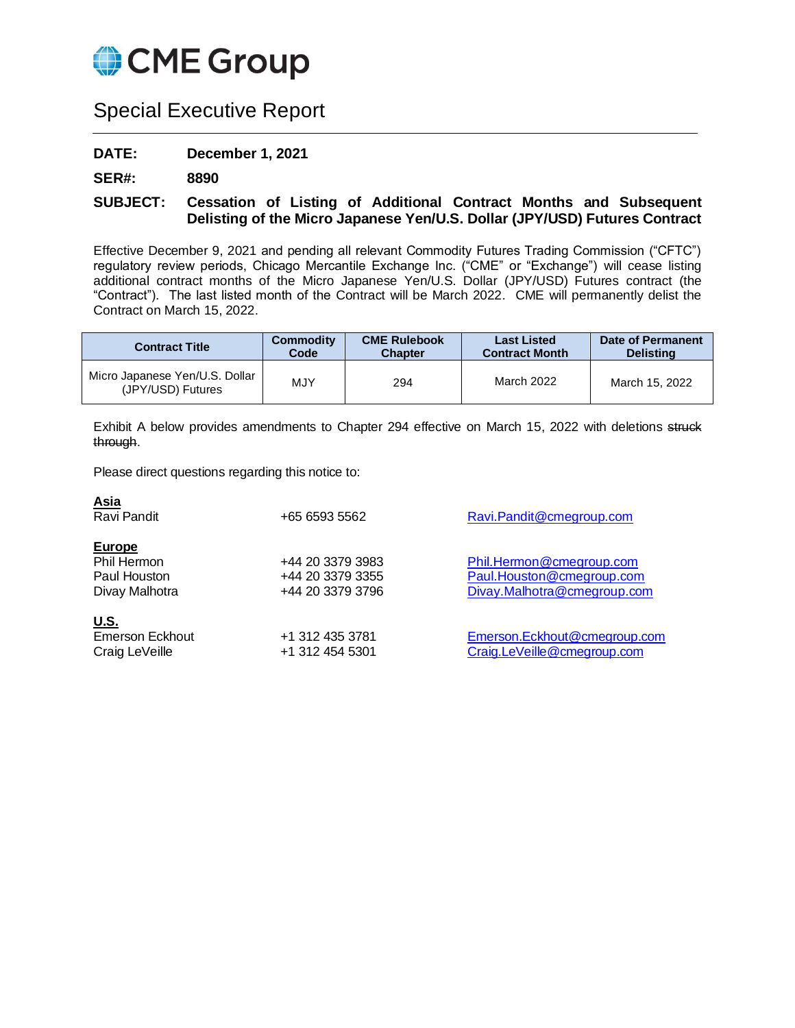

# Special Executive Report

# **DATE: December 1, 2021**

# **SER#: 8890**

# **SUBJECT: Cessation of Listing of Additional Contract Months and Subsequent Delisting of the Micro Japanese Yen/U.S. Dollar (JPY/USD) Futures Contract**

Effective December 9, 2021 and pending all relevant Commodity Futures Trading Commission ("CFTC") regulatory review periods, Chicago Mercantile Exchange Inc. ("CME" or "Exchange") will cease listing additional contract months of the Micro Japanese Yen/U.S. Dollar (JPY/USD) Futures contract (the "Contract"). The last listed month of the Contract will be March 2022. CME will permanently delist the Contract on March 15, 2022.

| <b>Contract Title</b>                               | Commodity | <b>CME Rulebook</b> | <b>Last Listed</b>    | Date of Permanent |
|-----------------------------------------------------|-----------|---------------------|-----------------------|-------------------|
|                                                     | Code      | <b>Chapter</b>      | <b>Contract Month</b> | <b>Delisting</b>  |
| Micro Japanese Yen/U.S. Dollar<br>(JPY/USD) Futures | MJY       | 294                 | March 2022            | March 15, 2022    |

Exhibit A below provides amendments to Chapter 294 effective on March 15, 2022 with deletions struck through.

Please direct questions regarding this notice to:

| <u>Asia</u><br>Ravi Pandit                              | +65 6593 5562                                            | Ravi.Pandit@cmegroup.com                                                             |
|---------------------------------------------------------|----------------------------------------------------------|--------------------------------------------------------------------------------------|
| Europe<br>Phil Hermon<br>Paul Houston<br>Divay Malhotra | +44 20 3379 3983<br>+44 20 3379 3355<br>+44 20 3379 3796 | Phil.Hermon@cmegroup.com<br>Paul.Houston@cmegroup.com<br>Divay.Malhotra@cmegroup.com |
| <u>U.S.</u><br>Emerson Eckhout<br>Craig LeVeille        | +1 312 435 3781<br>+1 312 454 5301                       | Emerson.Eckhout@cmegroup.com<br>Craig.LeVeille@cmegroup.com                          |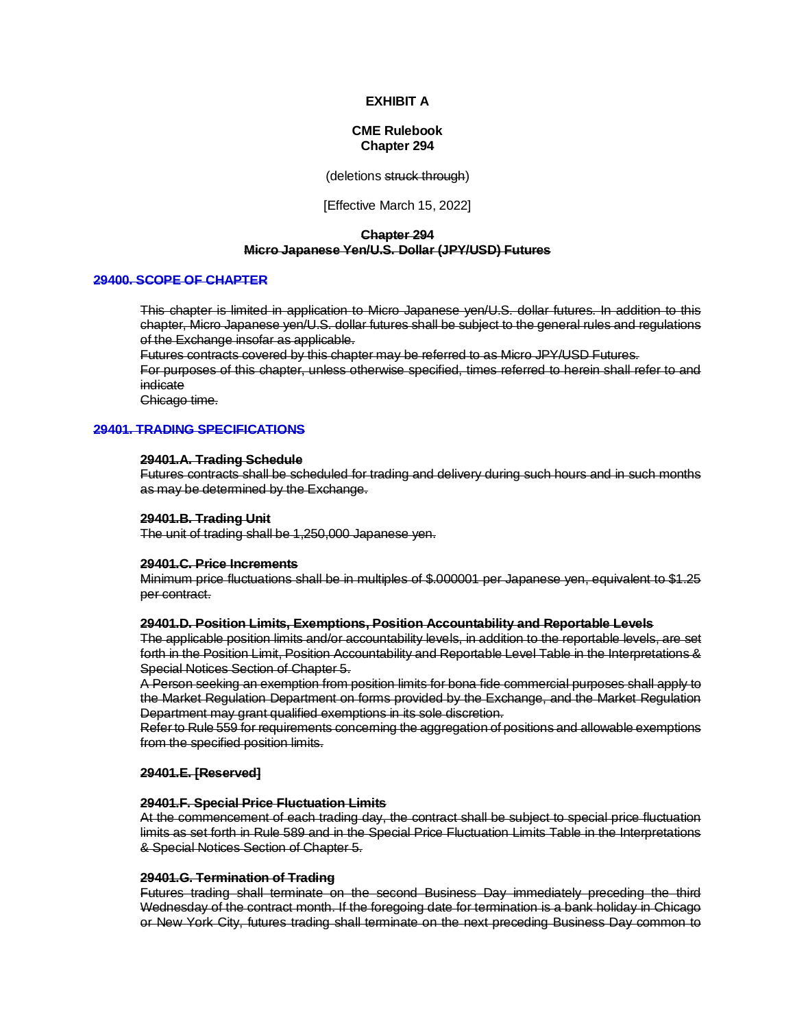## **EXHIBIT A**

## **CME Rulebook Chapter 294**

(deletions struck through)

#### [Effective March 15, 2022]

## **Chapter 294 Micro Japanese Yen/U.S. Dollar (JPY/USD) Futures**

#### **29400. SCOPE OF CHAPTER**

This chapter is limited in application to Micro Japanese yen/U.S. dollar futures. In addition to this chapter, Micro Japanese yen/U.S. dollar futures shall be subject to the general rules and regulations of the Exchange insofar as applicable.

Futures contracts covered by this chapter may be referred to as Micro JPY/USD Futures.

For purposes of this chapter, unless otherwise specified, times referred to herein shall refer to and indicate

Chicago time.

## **29401. TRADING SPECIFICATIONS**

#### **29401.A. Trading Schedule**

Futures contracts shall be scheduled for trading and delivery during such hours and in such months as may be determined by the Exchange.

#### **29401.B. Trading Unit**

The unit of trading shall be 1,250,000 Japanese yen.

#### **29401.C. Price Increments**

Minimum price fluctuations shall be in multiples of \$.000001 per Japanese yen, equivalent to \$1.25 per contract.

#### **29401.D. Position Limits, Exemptions, Position Accountability and Reportable Levels**

The applicable position limits and/or accountability levels, in addition to the reportable levels, are set forth in the Position Limit, Position Accountability and Reportable Level Table in the Interpretations & Special Notices Section of Chapter 5.

A Person seeking an exemption from position limits for bona fide commercial purposes shall apply to the Market Regulation Department on forms provided by the Exchange, and the Market Regulation Department may grant qualified exemptions in its sole discretion.

Refer to Rule 559 for requirements concerning the aggregation of positions and allowable exemptions from the specified position limits.

#### **29401.E. [Reserved]**

#### **29401.F. Special Price Fluctuation Limits**

At the commencement of each trading day, the contract shall be subject to special price fluctuation limits as set forth in Rule 589 and in the Special Price Fluctuation Limits Table in the Interpretations & Special Notices Section of Chapter 5.

#### **29401.G. Termination of Trading**

Futures trading shall terminate on the second Business Day immediately preceding the third Wednesday of the contract month. If the foregoing date for termination is a bank holiday in Chicago or New York City, futures trading shall terminate on the next preceding Business Day common to